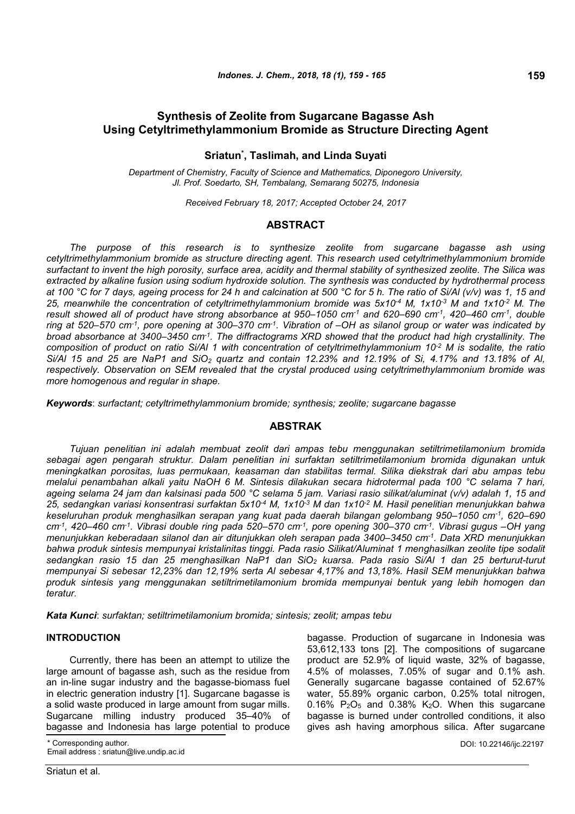# **Sriatun\* , Taslimah, and Linda Suyati**

*Department of Chemistry, Faculty of Science and Mathematics, Diponegoro University, Jl. Prof. Soedarto, SH, Tembalang, Semarang 50275, Indonesia*

*Received February 18, 2017; Accepted October 24, 2017*

# **ABSTRACT**

*The purpose of this research is to synthesize zeolite from sugarcane bagasse ash using cetyltrimethylammonium bromide as structure directing agent. This research used cetyltrimethylammonium bromide surfactant to invent the high porosity, surface area, acidity and thermal stability of synthesized zeolite. The Silica was extracted by alkaline fusion using sodium hydroxide solution. The synthesis was conducted by hydrothermal process at 100 °C for 7 days, ageing process for 24 h and calcination at 500 °C for 5 h. The ratio of Si/Al (v/v) was 1, 15 and 25, meanwhile the concentration of cetyltrimethylammonium bromide was 5x10-4 M, 1x10-3 M and 1x10-2 M. The result showed all of product have strong absorbance at 950–1050 cm-1 and 620–690 cm-1, 420–460 cm-1, double ring at 520–570 cm-1, pore opening at 300–370 cm-1. Vibration of –OH as silanol group or water was indicated by broad absorbance at 3400–3450 cm-1. The diffractograms XRD showed that the product had high crystallinity. The composition of product on ratio Si/Al 1 with concentration of cetyltrimethylammonium 10-2 M is sodalite, the ratio Si/Al 15 and 25 are NaP1 and SiO<sup>2</sup> quartz and contain 12.23% and 12.19% of Si, 4.17% and 13.18% of Al, respectively. Observation on SEM revealed that the crystal produced using cetyltrimethylammonium bromide was more homogenous and regular in shape.*

*Keywords*: *surfactant; cetyltrimethylammonium bromide; synthesis; zeolite; sugarcane bagasse*

## **ABSTRAK**

*Tujuan penelitian ini adalah membuat zeolit dari ampas tebu menggunakan setiltrimetilamonium bromida sebagai agen pengarah struktur. Dalam penelitian ini surfaktan setiltrimetilamonium bromida digunakan untuk meningkatkan porositas, luas permukaan, keasaman dan stabilitas termal. Silika diekstrak dari abu ampas tebu melalui penambahan alkali yaitu NaOH 6 M. Sintesis dilakukan secara hidrotermal pada 100 °C selama 7 hari, ageing selama 24 jam dan kalsinasi pada 500 °C selama 5 jam. Variasi rasio silikat/aluminat (v/v) adalah 1, 15 and 25, sedangkan variasi konsentrasi surfaktan 5x10-4 M, 1x10-3 M dan 1x10-2 M. Hasil penelitian menunjukkan bahwa keseluruhan produk menghasilkan serapan yang kuat pada daerah bilangan gelombang 950–1050 cm-1, 620–690 cm-1, 420–460 cm-1. Vibrasi double ring pada 520–570 cm-1, pore opening 300–370 cm-1. Vibrasi gugus –OH yang menunjukkan keberadaan silanol dan air ditunjukkan oleh serapan pada 3400–3450 cm-1. Data XRD menunjukkan bahwa produk sintesis mempunyai kristalinitas tinggi. Pada rasio Silikat/Aluminat 1 menghasilkan zeolite tipe sodalit sedangkan rasio 15 dan 25 menghasilkan NaP1 dan SiO<sup>2</sup> kuarsa. Pada rasio Si/Al 1 dan 25 berturut-turut mempunyai Si sebesar 12,23% dan 12,19% serta Al sebesar 4,17% and 13,18%. Hasil SEM menunjukkan bahwa produk sintesis yang menggunakan setiltrimetilamonium bromida mempunyai bentuk yang lebih homogen dan teratur.*

*Kata Kunci*: *surfaktan; setiltrimetilamonium bromida; sintesis; zeolit; ampas tebu*

### **INTRODUCTION**

Currently, there has been an attempt to utilize the large amount of bagasse ash, such as the residue from an in-line sugar industry and the bagasse-biomass fuel in electric generation industry [1]. Sugarcane bagasse is a solid waste produced in large amount from sugar mills. Sugarcane milling industry produced 35–40% of bagasse and Indonesia has large potential to produce

Corresponding author.

Email address : sriatun@live.undip.ac.id

bagasse. Production of sugarcane in Indonesia was 53,612,133 tons [2]. The compositions of sugarcane product are 52.9% of liquid waste, 32% of bagasse, 4.5% of molasses, 7.05% of sugar and 0.1% ash. Generally sugarcane bagasse contained of 52.67% water, 55.89% organic carbon, 0.25% total nitrogen,  $0.16\%$  P<sub>2</sub>O<sub>5</sub> and  $0.38\%$  K<sub>2</sub>O. When this sugarcane bagasse is burned under controlled conditions, it also gives ash having amorphous silica. After sugarcane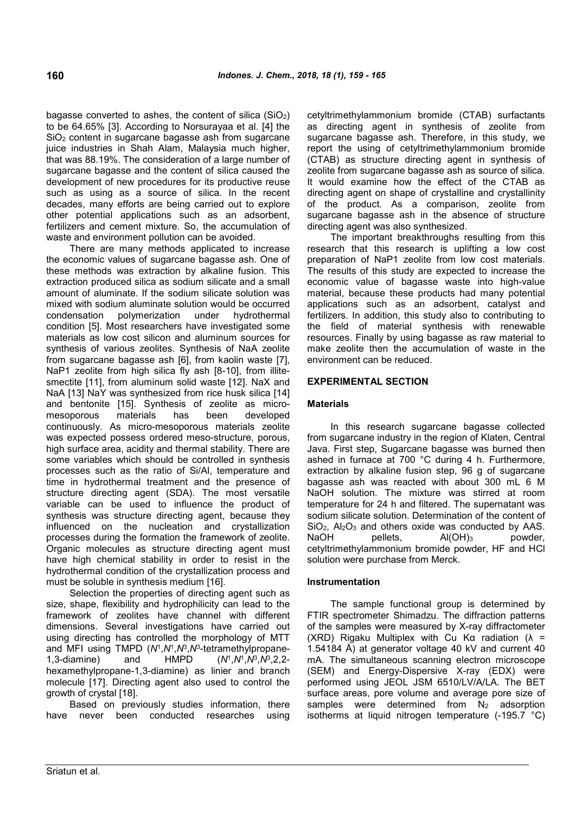bagasse converted to ashes, the content of silica  $(SiO<sub>2</sub>)$ to be 64.65% [3]. According to Norsurayaa et al. [4] the SiO<sup>2</sup> content in sugarcane bagasse ash from sugarcane juice industries in Shah Alam, Malaysia much higher, that was 88.19%. The consideration of a large number of sugarcane bagasse and the content of silica caused the development of new procedures for its productive reuse such as using as a source of silica. In the recent decades, many efforts are being carried out to explore other potential applications such as an adsorbent, fertilizers and cement mixture. So, the accumulation of waste and environment pollution can be avoided.

There are many methods applicated to increase the economic values of sugarcane bagasse ash. One of these methods was extraction by alkaline fusion. This extraction produced silica as sodium silicate and a small amount of aluminate. If the sodium silicate solution was mixed with sodium aluminate solution would be occurred condensation polymerization under hydrothermal condition [5]. Most researchers have investigated some materials as low cost silicon and aluminum sources for synthesis of various zeolites. Synthesis of NaA zeolite from sugarcane bagasse ash [6], from kaolin waste [7], NaP1 zeolite from high silica fly ash [8-10], from illitesmectite [11], from aluminum solid waste [12]. NaX and NaA [13] NaY was synthesized from rice husk silica [14] and bentonite [15]. Synthesis of zeolite as micromesoporous materials has been developed continuously. As micro-mesoporous materials zeolite was expected possess ordered meso-structure, porous, high surface area, acidity and thermal stability. There are some variables which should be controlled in synthesis processes such as the ratio of Si/Al, temperature and time in hydrothermal treatment and the presence of structure directing agent (SDA). The most versatile variable can be used to influence the product of synthesis was structure directing agent, because they influenced on the nucleation and crystallization processes during the formation the framework of zeolite. Organic molecules as structure directing agent must have high chemical stability in order to resist in the hydrothermal condition of the crystallization process and must be soluble in synthesis medium [16].

Selection the properties of directing agent such as size, shape, flexibility and hydrophilicity can lead to the framework of zeolites have channel with different dimensions. Several investigations have carried out using directing has controlled the morphology of MTT and MFI using TMPD (*N*<sup>1</sup> ,*N*<sup>1</sup> ,*N*<sup>3</sup> ,*N*<sup>3</sup> -tetramethylpropane-1,3-diamine) and HMPD ,*N*<sup>1</sup> ,*N*<sup>3</sup> ,*N*<sup>3</sup> ,2,2 hexamethylpropane-1,3-diamine) as linier and branch molecule [17]. Directing agent also used to control the growth of crystal [18].

Based on previously studies information, there have never been conducted researches using cetyltrimethylammonium bromide (CTAB) surfactants as directing agent in synthesis of zeolite from sugarcane bagasse ash. Therefore, in this study, we report the using of cetyltrimethylammonium bromide (CTAB) as structure directing agent in synthesis of zeolite from sugarcane bagasse ash as source of silica. It would examine how the effect of the CTAB as directing agent on shape of crystalline and crystallinity of the product. As a comparison, zeolite from sugarcane bagasse ash in the absence of structure directing agent was also synthesized.

The important breakthroughs resulting from this research that this research is uplifting a low cost preparation of NaP1 zeolite from low cost materials. The results of this study are expected to increase the economic value of bagasse waste into high-value material, because these products had many potential applications such as an adsorbent, catalyst and fertilizers. In addition, this study also to contributing to the field of material synthesis with renewable resources. Finally by using bagasse as raw material to make zeolite then the accumulation of waste in the environment can be reduced.

# **EXPERIMENTAL SECTION**

# **Materials**

In this research sugarcane bagasse collected from sugarcane industry in the region of Klaten, Central Java. First step, Sugarcane bagasse was burned then ashed in furnace at 700 °C during 4 h. Furthermore, extraction by alkaline fusion step, 96 g of sugarcane bagasse ash was reacted with about 300 mL 6 M NaOH solution. The mixture was stirred at room temperature for 24 h and filtered. The supernatant was sodium silicate solution. Determination of the content of SiO<sub>2</sub>, Al<sub>2</sub>O<sub>3</sub> and others oxide was conducted by AAS. NaOH pellets, Al(OH)<sub>3</sub> powder, cetyltrimethylammonium bromide powder, HF and HCl solution were purchase from Merck.

## **Instrumentation**

The sample functional group is determined by FTIR spectrometer Shimadzu. The diffraction patterns of the samples were measured by X-ray diffractometer (XRD) Rigaku Multiplex with Cu Kα radiation  $(λ =$ 1.54184 Å) at generator voltage 40 kV and current 40 mA. The simultaneous scanning electron microscope (SEM) and Energy-Dispersive X-ray (EDX) were performed using JEOL JSM 6510/LV/A/LA. The BET surface areas, pore volume and average pore size of samples were determined from  $N_2$  adsorption isotherms at liquid nitrogen temperature (-195.7 °C)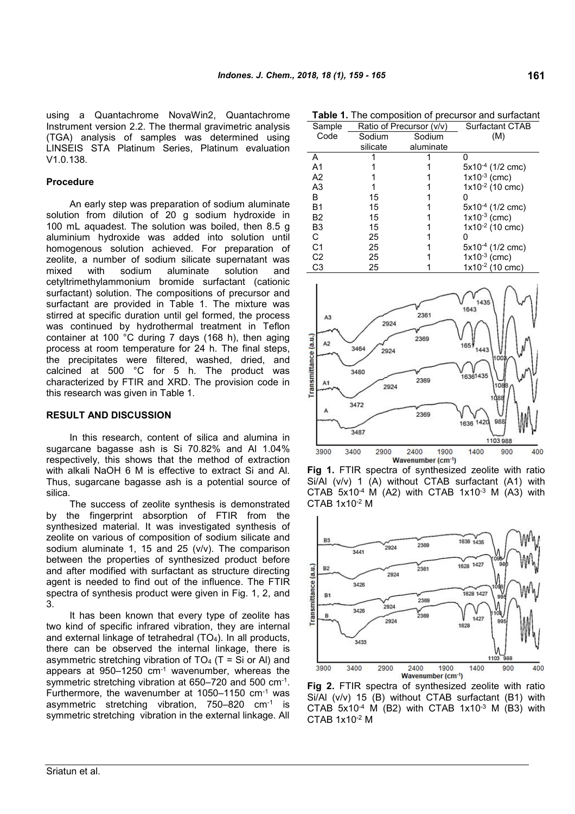using a Quantachrome NovaWin2, Quantachrome Instrument version 2.2. The thermal gravimetric analysis (TGA) analysis of samples was determined using LINSEIS STA Platinum Series, Platinum evaluation V1.0.138.

## **Procedure**

An early step was preparation of sodium aluminate solution from dilution of 20 g sodium hydroxide in 100 mL aquadest. The solution was boiled, then 8.5 g aluminium hydroxide was added into solution until homogenous solution achieved. For preparation of zeolite, a number of sodium silicate supernatant was mixed with sodium aluminate solution and cetyltrimethylammonium bromide surfactant (cationic surfactant) solution. The compositions of precursor and surfactant are provided in Table 1. The mixture was stirred at specific duration until gel formed, the process was continued by hydrothermal treatment in Teflon container at 100 °C during 7 days (168 h), then aging process at room temperature for 24 h. The final steps, the precipitates were filtered, washed, dried, and calcined at 500 °C for 5 h. The product was container at 100 °C during 7 days (168 h), then aging<br>process at room temperature for 24 h. The final steps,<br>the precipitates were filtered, washed, dried, and<br>calcined at 500 °C for 5 h. The product was<br>characterized by this research was given in Table 1.

#### **RESULT AND DISCUSSION**

In this research, content of silica and alumina in sugarcane bagasse ash is Si 70.82% and Al 1.04% respectively, this shows that the method of extraction with alkali NaOH 6 M is effective to extract Si and Al. Thus, sugarcane bagasse ash is a potential source of silica.

The success of zeolite synthesis is demonstrated by the fingerprint absorption of FTIR from the synthesized material. It was investigated synthesis of zeolite on various of composition of sodium silicate and sodium aluminate 1, 15 and 25 (v/v). The comparison between the properties of synthesized product before and after modified with surfactant as structure directing agent is needed to find out of the influence. The FTIR spectra of synthesis product were given in Fig. 1, 2, and 3.

It has been known that every type of zeolite has two kind of specific infrared vibration, they are internal and external linkage of tetrahedral (TO4). In all products, there can be observed the internal linkage, there is asymmetric stretching vibration of  $TO<sub>4</sub>$  (T = Si or Al) and appears at 950–1250 cm-1 wavenumber, whereas the symmetric stretching vibration at 650–720 and 500 cm<sup>-1</sup>. Furthermore, the wavenumber at 1050–1150 cm-1 was asymmetric stretching vibration, 750–820 cm-1 is symmetric stretching vibration in the external linkage. All

**Table 1.** The composition of precursor and surfactant

**161**

| Sample         |          | Ratio of Precursor (v/v) | <b>Surfactant CTAB</b> |  |  |
|----------------|----------|--------------------------|------------------------|--|--|
| Code           | Sodium   | Sodium                   | (M)                    |  |  |
|                | silicate | aluminate                |                        |  |  |
| A              |          |                          |                        |  |  |
| A <sub>1</sub> |          |                          | $5x10^{-4}$ (1/2 cmc)  |  |  |
| A <sub>2</sub> |          |                          | $1x10^{-3}$ (cmc)      |  |  |
| A <sub>3</sub> |          |                          | $1x10^{-2}$ (10 cmc)   |  |  |
| B              | 15       |                          |                        |  |  |
| <b>B1</b>      | 15       |                          | $5x10^{-4}$ (1/2 cmc)  |  |  |
| B <sub>2</sub> | 15       |                          | $1x10^{-3}$ (cmc)      |  |  |
| B <sub>3</sub> | 15       |                          | $1x10^{-2}$ (10 cmc)   |  |  |
| C              | 25       |                          |                        |  |  |
| C <sub>1</sub> | 25       |                          | $5x10^{-4}$ (1/2 cmc)  |  |  |
| C <sub>2</sub> | 25       |                          | $1x10^{-3}$ (cmc)      |  |  |
| C <sub>3</sub> | 25       |                          | $1x10^{-2}$ (10 cmc)   |  |  |



**Fig 1.** FTIR spectra of synthesized zeolite with ratio Si/Al (v/v) 1 (A) without CTAB surfactant (A1) with CTAB  $5x10^{-4}$  M (A2) with CTAB  $1x10^{-3}$  M (A3) with CTAB 1x10-2 M



**Fig 2.** FTIR spectra of synthesized zeolite with ratio Si/Al (v/v) 15 (B) without CTAB surfactant (B1) with CTAB  $5x10^{-4}$  M (B2) with CTAB  $1x10^{-3}$  M (B3) with CTAB 1x10-2 M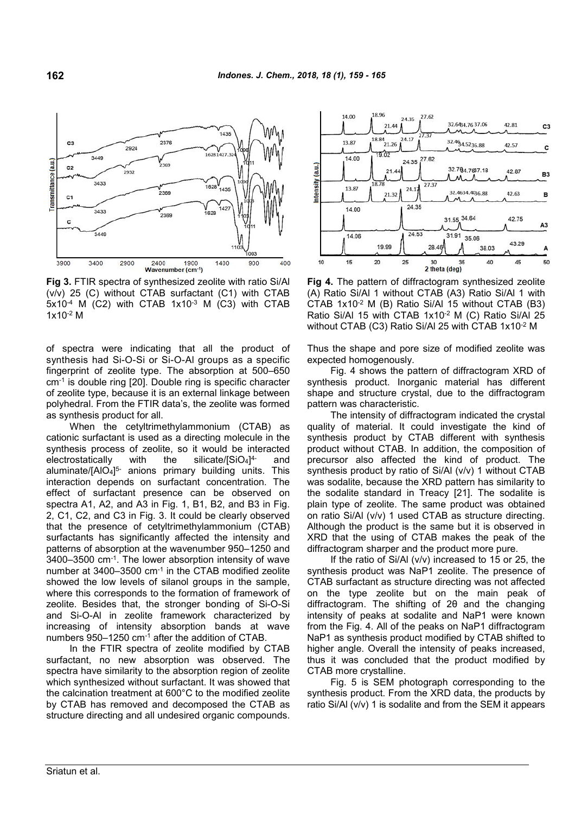

**Fig 3.** FTIR spectra of synthesized zeolite with ratio Si/Al (v/v) 25 (C) without CTAB surfactant (C1) with CTAB 5x10-4 M (C2) with CTAB 1x10-3 M (C3) with CTAB 1x10-2 M

of spectra were indicating that all the product of synthesis had Si-O-Si or Si-O-Al groups as a specific fingerprint of zeolite type. The absorption at 500–650 cm-1 is double ring [20]. Double ring is specific character of zeolite type, because it is an external linkage between polyhedral. From the FTIR data's, the zeolite was formed as synthesis product for all.

When the cetyltrimethylammonium (CTAB) as cationic surfactant is used as a directing molecule in the synthesis process of zeolite, so it would be interacted electrostatically with the silicate/ $[SiO_4]^{4-}$ and aluminate/[AlO4] 5- anions primary building units. This interaction depends on surfactant concentration. The effect of surfactant presence can be observed on spectra A1, A2, and A3 in Fig. 1, B1, B2, and B3 in Fig. 2, C1, C2, and C3 in Fig. 3. It could be clearly observed that the presence of cetyltrimethylammonium (CTAB) surfactants has significantly affected the intensity and patterns of absorption at the wavenumber 950–1250 and 3400–3500 cm-1. The lower absorption intensity of wave number at 3400–3500 cm-1 in the CTAB modified zeolite showed the low levels of silanol groups in the sample, where this corresponds to the formation of framework of zeolite. Besides that, the stronger bonding of Si-O-Si and Si-O-Al in zeolite framework characterized by increasing of intensity absorption bands at wave numbers 950–1250 cm-1 after the addition of CTAB.

In the FTIR spectra of zeolite modified by CTAB surfactant, no new absorption was observed. The spectra have similarity to the absorption region of zeolite which synthesized without surfactant. It was showed that the calcination treatment at 600°C to the modified zeolite by CTAB has removed and decomposed the CTAB as structure directing and all undesired organic compounds.



**Fig 4.** The pattern of diffractogram synthesized zeolite (A) Ratio Si/Al 1 without CTAB (A3) Ratio Si/Al 1 with CTAB 1x10-2 M (B) Ratio Si/Al 15 without CTAB (B3) Ratio Si/Al 15 with CTAB 1x10-2 M (C) Ratio Si/Al 25 without CTAB (C3) Ratio Si/Al 25 with CTAB 1x10-2 M

Thus the shape and pore size of modified zeolite was expected homogenously.

Fig. 4 shows the pattern of diffractogram XRD of synthesis product. Inorganic material has different shape and structure crystal, due to the diffractogram pattern was characteristic.

The intensity of diffractogram indicated the crystal quality of material. It could investigate the kind of synthesis product by CTAB different with synthesis product without CTAB. In addition, the composition of precursor also affected the kind of product. The synthesis product by ratio of Si/Al (v/v) 1 without CTAB was sodalite, because the XRD pattern has similarity to the sodalite standard in Treacy [21]. The sodalite is plain type of zeolite. The same product was obtained on ratio Si/Al (v/v) 1 used CTAB as structure directing. Although the product is the same but it is observed in XRD that the using of CTAB makes the peak of the diffractogram sharper and the product more pure.

If the ratio of Si/Al (v/v) increased to 15 or 25, the synthesis product was NaP1 zeolite. The presence of CTAB surfactant as structure directing was not affected on the type zeolite but on the main peak of diffractogram. The shifting of 2θ and the changing intensity of peaks at sodalite and NaP1 were known from the Fig. 4. All of the peaks on NaP1 diffractogram NaP1 as synthesis product modified by CTAB shifted to higher angle. Overall the intensity of peaks increased, thus it was concluded that the product modified by CTAB more crystalline.

Fig. 5 is SEM photograph corresponding to the synthesis product. From the XRD data, the products by ratio Si/Al (v/v) 1 is sodalite and from the SEM it appears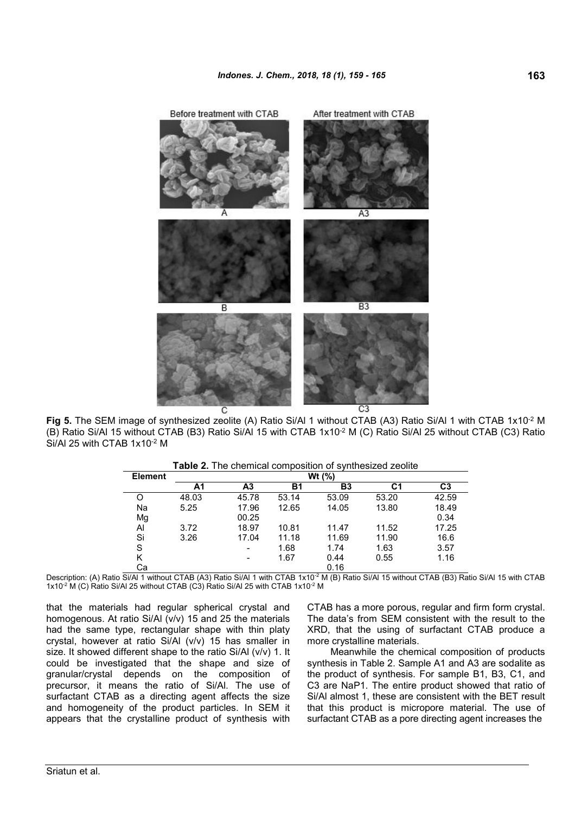

**Fig 5.** The SEM image of synthesized zeolite (A) Ratio Si/Al 1 without CTAB (A3) Ratio Si/Al 1 with CTAB 1x10-2 M (B) Ratio Si/Al 15 without CTAB (B3) Ratio Si/Al 15 with CTAB 1x10-2 M (C) Ratio Si/Al 25 without CTAB (C3) Ratio Si/Al 25 with CTAB 1x10-2 M

| <b>Table 2.</b> The chemical composition of synthesized zeolite |  |
|-----------------------------------------------------------------|--|
|-----------------------------------------------------------------|--|

| <b>Element</b> | Wt $(%)$ |                              |       |                |       |                |  |
|----------------|----------|------------------------------|-------|----------------|-------|----------------|--|
|                | Α1       | A <sub>3</sub>               | Β1    | B <sub>3</sub> | С1    | C <sub>3</sub> |  |
| Ő              | 48.03    | 45.78                        | 53.14 | 53.09          | 53.20 | 42.59          |  |
| Na             | 5.25     | 17.96                        | 12.65 | 14.05          | 13.80 | 18.49          |  |
| Mg             |          | 00.25                        |       |                |       | 0.34           |  |
| AI             | 3.72     | 18.97                        | 10.81 | 11.47          | 11.52 | 17.25          |  |
| Si             | 3.26     | 17.04                        | 11.18 | 11.69          | 11.90 | 16.6           |  |
| S              |          | $\qquad \qquad \blacksquare$ | 1.68  | 1.74           | 1.63  | 3.57           |  |
| Κ              |          | $\overline{\phantom{0}}$     | 1.67  | 0.44           | 0.55  | 1.16           |  |
| Сa             |          |                              |       | 0.16           |       |                |  |

Description: (A) Ratio Si/Al 1 without CTAB (A3) Ratio Si/Al 1 with CTAB 1x10<sup>-2</sup> M (B) Ratio Si/Al 15 without CTAB (B3) Ratio Si/Al 15 with CTAB 1x10<sup>-2</sup> M (C) Ratio Si/Al 25 without CTAB (C3) Ratio Si/Al 25 with CTAB 1x10<sup>-2</sup> M

that the materials had regular spherical crystal and homogenous. At ratio Si/Al (v/v) 15 and 25 the materials had the same type, rectangular shape with thin platy crystal, however at ratio Si/Al (v/v) 15 has smaller in size. It showed different shape to the ratio Si/Al (v/v) 1. It could be investigated that the shape and size of granular/crystal depends on the composition of precursor, it means the ratio of Si/Al. The use of surfactant CTAB as a directing agent affects the size and homogeneity of the product particles. In SEM it appears that the crystalline product of synthesis with CTAB has a more porous, regular and firm form crystal. The data's from SEM consistent with the result to the XRD, that the using of surfactant CTAB produce a more crystalline materials.

Meanwhile the chemical composition of products synthesis in Table 2. Sample A1 and A3 are sodalite as the product of synthesis. For sample B1, B3, C1, and C3 are NaP1. The entire product showed that ratio of Si/Al almost 1, these are consistent with the BET result that this product is micropore material. The use of surfactant CTAB as a pore directing agent increases the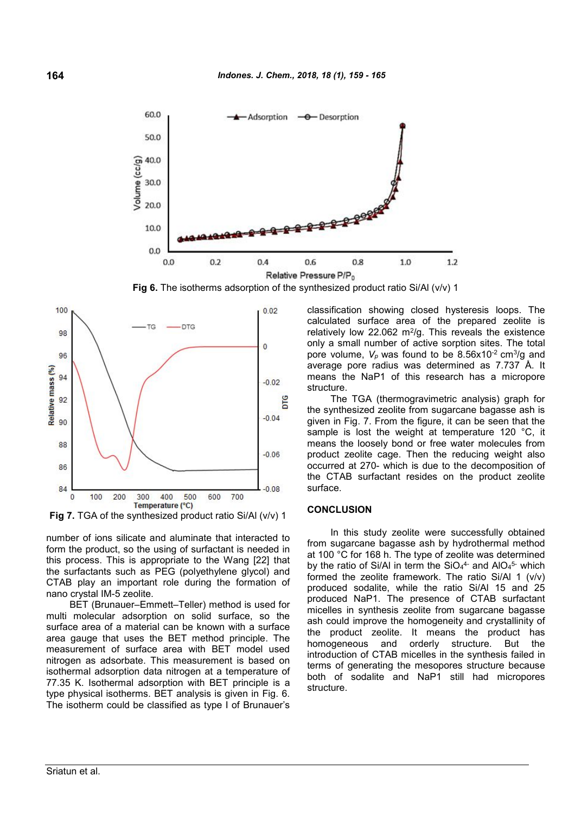

**Fig 6.** The isotherms adsorption of the synthesized product ratio Si/Al (v/v) 1



**Fig 7.** TGA of the synthesized product ratio Si/Al (v/v) 1

number of ions silicate and aluminate that interacted to form the product, so the using of surfactant is needed in this process. This is appropriate to the Wang [22] that the surfactants such as PEG (polyethylene glycol) and CTAB play an important role during the formation of nano crystal IM-5 zeolite.

BET (Brunauer–Emmett–Teller) method is used for multi molecular adsorption on solid surface, so the surface area of a material can be known with a surface area gauge that uses the BET method principle. The measurement of surface area with BET model used nitrogen as adsorbate. This measurement is based on isothermal adsorption data nitrogen at a temperature of 77.35 K. Isothermal adsorption with BET principle is a type physical isotherms. BET analysis is given in Fig. 6. The isotherm could be classified as type I of Brunauer's classification showing closed hysteresis loops. The calculated surface area of the prepared zeolite is relatively low  $22.062$  m<sup>2</sup>/g. This reveals the existence only a small number of active sorption sites. The total pore volume,  $V_p$  was found to be 8.56x10<sup>-2</sup> cm<sup>3</sup>/g and average pore radius was determined as 7.737 Å. It means the NaP1 of this research has a micropore structure.

The TGA (thermogravimetric analysis) graph for the synthesized zeolite from sugarcane bagasse ash is given in Fig. 7. From the figure, it can be seen that the sample is lost the weight at temperature 120 °C, it means the loosely bond or free water molecules from product zeolite cage. Then the reducing weight also occurred at 270- which is due to the decomposition of the CTAB surfactant resides on the product zeolite surface.

#### **CONCLUSION**

In this study zeolite were successfully obtained from sugarcane bagasse ash by hydrothermal method at 100 °C for 168 h. The type of zeolite was determined by the ratio of Si/AI in term the SiO<sub>4</sub><sup>4-</sup> and AIO<sub>4</sub>5- which formed the zeolite framework. The ratio Si/Al 1 (v/v) produced sodalite, while the ratio Si/Al 15 and 25 produced NaP1. The presence of CTAB surfactant micelles in synthesis zeolite from sugarcane bagasse ash could improve the homogeneity and crystallinity of the product zeolite. It means the product has homogeneous and orderly structure. But the introduction of CTAB micelles in the synthesis failed in terms of generating the mesopores structure because both of sodalite and NaP1 still had micropores structure.